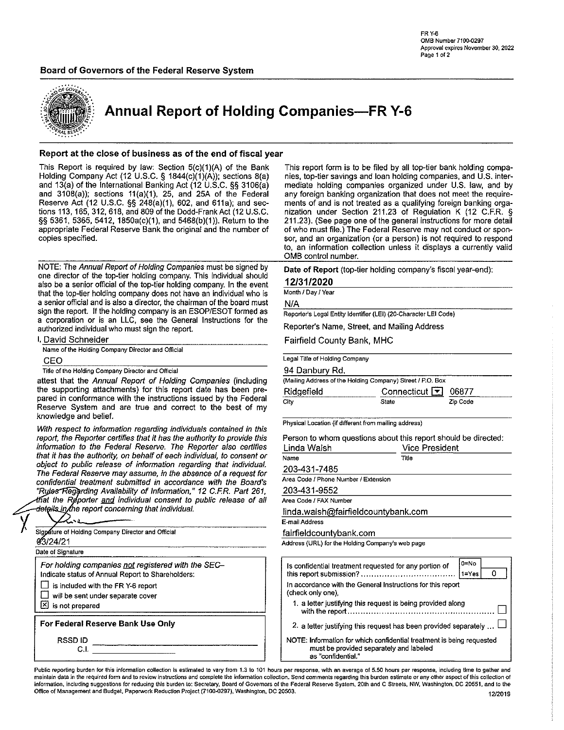### Board of Governors of the Federal Reserve System



Annual Report of Holding Companies—FR Y-6

#### Report at the close of business as of the end of fiscal year

This Report is required by law: Section 5(c)(1)(A) of the Bank This report form is to be filed by all top-tier bank holding compa-<br>Holding Company Act (12 U.S.C. § 1844(c)(1)(A)); sections 8(a) nies, top-tier savings and l Holding Company Act (12 U.S.C. § 1844 $(c)(1)(A))$ ; sections 8(a) and 13(a) of the International Banking Act (12 U.S.C. §§ 3106(a) mediate holding companies organized under U.S. law, and by and 3108(a)); sections 11(a)(1), 25, and 25A of the Federal any foreign banking organization that does not meet the require-<br>Reserve Act (12 U.S.C. §§ 248(a)(1), 602, and 611a); and sec-<br>ments of and is not treated as a qu Reserve Act (12 U.S.C. §§ 248(a)(1), 602, and 611a); and sec-<br>tions 113, 165, 312, 618, and 809 of the Dodd-Frank Act (12 U.S.C. nization under Section 211.23 of Regulation K (12 C.F.R. § tions 113, 165, 312, 618, and 809 of the Dodd-Frank Act (12 U.S.C. §§ 5361, 5365, 5412, 1850a(c)(1), and 5468(b)(1)). Return to the appropriate Federal Reserve Bank the original and the number of of who must file.) The Federal Reserve may not conduct or spon-

NOTE: The Annual Report of Holding Companies must be signed by one director of the top-tier holding company. This individual should also be a senior official of the top-tier holding company. In the event that the tap-tier holding company does not have an individual who is a senior official and is also a director, the chairman of the board must sign the report. If the holding company is an ESOP/ESOT formed as a corporation or is an LLC, see the General Instructions for the authorized individual who must sign the report.

| I. David Schneider                                |
|---------------------------------------------------|
| Name of the Holding Company Director and Official |
| CEO.                                              |

Title of the Holding Company Director and Official

attest that the Annual Report of Holding Companies (including the supporting attachments) for this report date has been prepared in conformance with the instructions issued by the Federal Reserve System and are true and correct to the best of my knowledge and belief.

With respect to information regarding individuals contained in this report, the Reporter certifies that it has the authority to provide this information to the Federal Reserve. The Reporter also certifies that it has the authority, on behalf of each individual, to consent or object to public release of information regarding that individual. The Federal Reserve may assume, in the absence of a request for confidential treatment submitted in accordance with the Board's "Rules Regarding Availability of Information," 12 C.F.R. Part 261, that the Reporter and individual consent to public release of all details\_in*f*the report concerning that individual.

| Signature of Holding Company Director and Official<br>03/24/21<br>Date of Signature<br>For holding companies not registered with the SEC-<br>Indicate status of Annual Report to Shareholders:<br>is included with the FR Y-6 report<br>will be sent under separate cover<br>凶 is not prepared |  |
|------------------------------------------------------------------------------------------------------------------------------------------------------------------------------------------------------------------------------------------------------------------------------------------------|--|
|                                                                                                                                                                                                                                                                                                |  |
|                                                                                                                                                                                                                                                                                                |  |
|                                                                                                                                                                                                                                                                                                |  |
|                                                                                                                                                                                                                                                                                                |  |
|                                                                                                                                                                                                                                                                                                |  |
|                                                                                                                                                                                                                                                                                                |  |
|                                                                                                                                                                                                                                                                                                |  |
|                                                                                                                                                                                                                                                                                                |  |
|                                                                                                                                                                                                                                                                                                |  |
| For Federal Reserve Bank Use Only                                                                                                                                                                                                                                                              |  |
| <b>RSSDID</b>                                                                                                                                                                                                                                                                                  |  |
|                                                                                                                                                                                                                                                                                                |  |

211.23). (See page one of the general instructions for more detail copies specified. Sor, and an organization (or a person) is not required to respond to, an information collection unless it displays a currently valid OMB control number.

Date of Report (top-tier holding company's fiscal year-end):

#### 12/31/2020

Month / Day / Year

N/A

Reporters Legal Entity Identifier (LEI) (20-Character LEI Code)

Reporter's Name, Street, and Mailing Address

Fairfield County Bank, MHC

Legal Title of Holding Company

#### 94 Danbury Rd.

| (Mailing Address of the Holding Company) Street / P.O. Box |                     |          |  |  |  |  |  |
|------------------------------------------------------------|---------------------|----------|--|--|--|--|--|
| Ridgefield                                                 | Connecticut 1 06877 |          |  |  |  |  |  |
| City                                                       | State               | Zip Code |  |  |  |  |  |

Physical Location (if different from mailing address)

Person to whom questions about this report should be directed:

| Linda Walsh                          | <b>Vice President</b> |
|--------------------------------------|-----------------------|
| Name                                 | Title                 |
| 203-431-7485                         |                       |
| Area Code / Phone Number / Extension |                       |
| 203-431-9552                         |                       |

Area Code / FAX Number

linda.waish@fairfieldcountybank.com

ail Address

fieldcountybank.com

ess (URL) for the Holding Company's web page

|                                                                                                                                        | l0=No<br>$1 = Y$ es |
|----------------------------------------------------------------------------------------------------------------------------------------|---------------------|
| In accordance with the General Instructions for this report<br>(check only one).                                                       |                     |
| 1. a letter justifying this request is being provided along                                                                            |                     |
| 2. a letter justifying this request has been provided separately                                                                       |                     |
| NOTE: Information for which confidential treatment is being requested<br>must be provided separately and labeled<br>as "confidential." |                     |

Public reporting burden for this informalion collection is estimated to vary from 1.3 to 101 hours per response, with an average of 5.50 hours per response, including time to gather and maintain data in the required form and to review instructions and complete the information collection. Send comments regarding this burden estimate or any other aspect of this collection of information, including suggestions for reducing this burden to: Secretary, Board of Governors of the Federal Reserve System, 20th and C Streets, NW, Washington, DC 20551, and to the Office of Management and Budget, Paperwork Reduction Pmject (7100-0297), Washington, DC 20503. 12/2019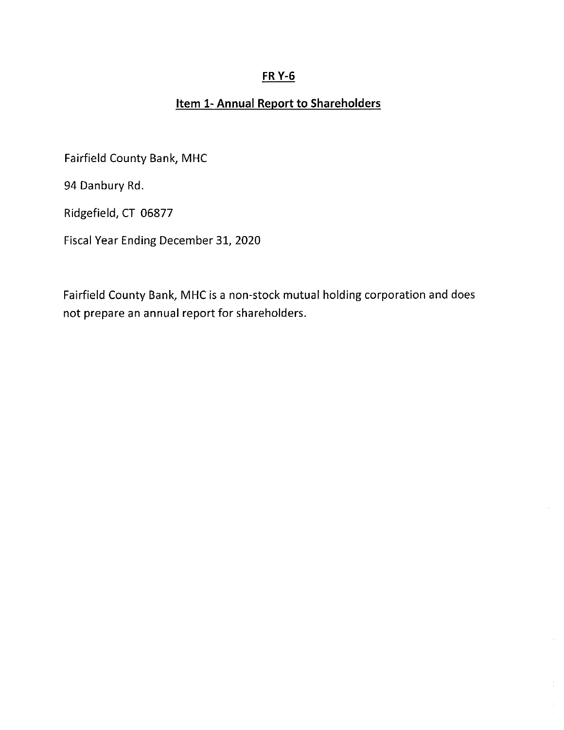# FR Y-6

# Item 1- Annual Report to Shareholders

Fairfield County Bank, MHC

94 Danbury Rd.

Ridgefield, CT 06877

Fiscal Year Ending December 31, 2020

Fairfield County Bank, MHC is a non-stock mutual holding corporation and does not prepare an annual report for shareholders.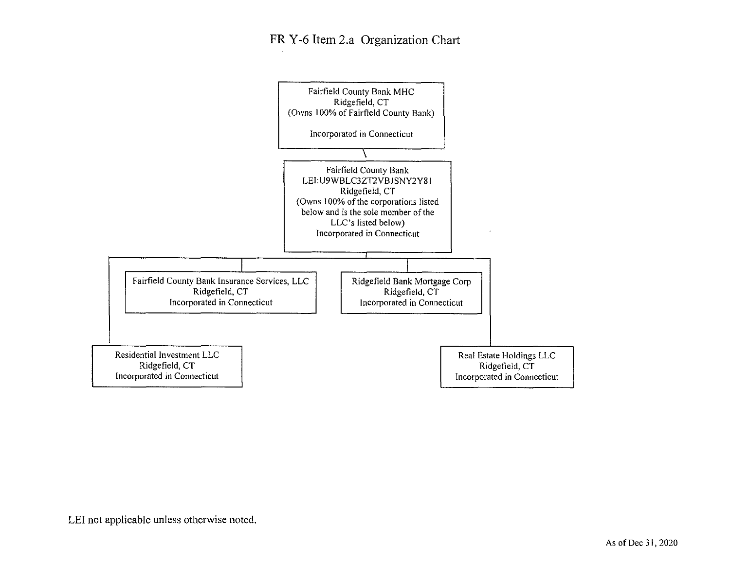## FR Y-6 Item 2.a Organization Chart

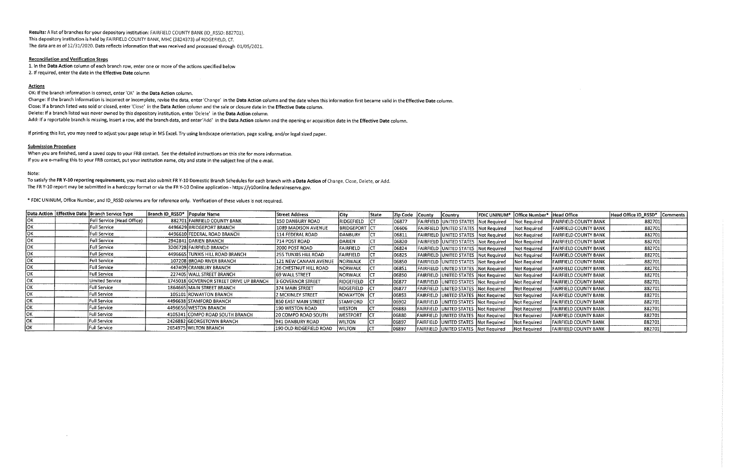Results: A list of branches for your depository institution: FAIRFIELD COUNTY BANK (ID\_RSSD: 882701). This depository institution is held by FAIRFIELD COUNTY BANK, MHC (3824373) of RIDGEFIELD, CT. The data are as of 12/31/2020. Data reflects information that was received and processed through 01/05/2021.

Change: If the branch information is incorrect or incomplete, revise the data, enter'Change' in the Data Action column and the date when this information first became valid in the Effective Date column. Close: If a branch listed was sold or closed, enter'Close' in the Data Action column and the sale or closure date in the Effective Date column. Delete: If a branch listed was never owned by this depository institution, enter'Delete' in the Data Action column. Add: If a reportable branch is missing, insert a row, add the branch data, and enter'Add' in the Data Action column and the opening or acquisition date in the Effective Date column.

### Reconciliation and Verification Steps

1. In the Data Action column of each branch row, enter one or more of the actions specified below

2. If required, enter the date in the Effective Date column

### **Actions**

OK: If the branch information is correct, enter'OK' in the Data Action column.

If printing this list, you may need to adjust your page setup in MS Excel. Try using landscape orientation, page scaling, and/or legal sized paper.

### Submission Procedure

 $\sim$ 

When you are finished, send a saved copy to your FRB contact. See the detailed instructions on this site for more information. If you are e-mailing this to your FRB contact, put your institution name, city and state in the subject line of the e-mail.

#### Note:

To satisfy the FR Y-10 reporting requirements, you must also submit FR Y-10 Domestic Branch Schedules for each branch with a Data Action of Change, Close, Delete, or Add. The FR Y-10 report may be submitted in a hardcopy format or via the FR Y-10 Online application - https://y10online.federalreserve.gov.

\* FDIC UNINUM, Office Number, and ID\_RSSD columns are for reference only. Verification of these values is not required.

|      | Data Action Effective Date Branch Service Type | Branch ID_RSSD* Popular Name |                                         | Street Address               | City                 | State | Zip Code | <b>County</b> | <b>Country</b>                         | <b>FDIC UNINUM*</b> | Office Number* Head Office |                              | Head Office ID_RSSD* | <b>Comments</b> |
|------|------------------------------------------------|------------------------------|-----------------------------------------|------------------------------|----------------------|-------|----------|---------------|----------------------------------------|---------------------|----------------------------|------------------------------|----------------------|-----------------|
| lОK  | Full Service (Head Office)                     |                              | 882701 FAIRFIELD COUNTY BANK            | 150 DANBURY ROAD             | RIDGEFIELD           | ানে   | 06877    |               | FAIRFIELD UNITED STATES Not Required   |                     | Not Required               | FAIRFIELD COUNTY BANK        | 882701               |                 |
| lок  | Full Service                                   |                              | 4496629 BRIDGEPORT BRANCH               | 1089 MADISON AVENUE          | <b>BRIDGEPORT</b> CT |       | 06606    |               | FAIRFIELD UNITED STATES Not Required   |                     | Not Required               | FAIRFIELD COUNTY BANK        | 882701               |                 |
| iок  | Full Service                                   |                              | 4496610 FEDERAL ROAD BRANCH             | 114 FEDERAL ROAD             | <b>DANBURY</b>       |       | 06811    |               | FAIRFIELD UNITED STATES Not Required   |                     | Not Required               | <b>FAIRFIELD COUNTY BANK</b> | 882701               |                 |
| loĸ  | Full Service                                   |                              | 2942841 DARIEN BRANCH                   | 714 POST ROAD                | <b>DARIEN</b>        |       | 06820    |               | FAIRFIELD UNITED STATES Not Required   |                     | Mot Required               | FAIRFIELD COUNTY BANK        | 882701               |                 |
| Ιοκ  | <b>Full Service</b>                            |                              | 3206728 FAIRFIELD BRANCH                | 2000 POST ROAD               | <b>FAIRFIELD</b>     |       | 06824    |               | FAIRFIELD UNITED STATES Not Required   |                     | Not Required               | <b>FAIRFIELD COUNTY BANK</b> | 882701               |                 |
| lok  | Full Service                                   |                              | 4496665 TUNXIS HILL ROAD BRANCH         | 255 TUNXIS HILL ROAD         | <b>FAIRFIELD</b>     |       | 06825    |               | FAIRFIELD UNITED STATES Not Required   |                     | Not Required               | FAIRFIELD COUNTY BANK        | 882701               |                 |
| loĸ  | Full Service                                   |                              | 107208 BROAD RIVER BRANCH               | 121 NEW CANAAN AVENUE        | <b>NORWALK</b>       |       | 06850    |               | FAIRFIELD UNITED STATES Not Required   |                     | Not Required               | <b>FAIRFIELD COUNTY BANK</b> | 882701               |                 |
| loĸ  | Full Service                                   |                              | 447409 CRANBURY BRANCH                  | <b>26 CHESTNUT HILL ROAD</b> | INORWALK             |       | 06851    |               | FAIRFIELD UNITED STATES Not Required   |                     | Not Reauired               | <b>FAIRFIELD COUNTY BANK</b> | 882701               |                 |
| lok. | Full Service :                                 |                              | 227405 WALL STREET BRANCH               | 169 WALL STREET              | NORWALK              |       | 06850    |               | FAIRFIELD UNITED STATES Not Required   |                     | <b>Not Required</b>        | <b>FAIRFIELD COUNTY BANK</b> | 882701               |                 |
| lOK. | Limited Service                                |                              | 1745018 GOVERNOR STREET DRIVE UP BRANCH | <b>3 GOVERNOR STREET</b>     | RIDGEFIELD           | lct   | 06877    |               | FAIRFIELD UNITED STATES Not Required   |                     | 'Not Required              | FAIRFIELD COUNTY BANK        | 882701               |                 |
| Ιοκ  | Full Service                                   |                              | 1864665 MAIN STREET BRANCH              | 374 MAIN STREET              | RIDGEFIELD           | lCT   | 06877    |               | FAIRFIELD JUNITED STATES Not Required  |                     | Not Required               | <b>FAIRFIELD COUNTY BANK</b> | 882701               |                 |
| lor  | Full Service                                   |                              | 105101 ROWAYTON BRANCH                  | 2 MCKINLEY STREET            | ROWAYTON ICT         |       | 06853    |               | FAIRFIELD UNITED STATES Not Required   |                     | <b>Not Required</b>        | FAIRFIELD COUNTY BANK        | 882701               |                 |
| lok  | Full Service                                   |                              | 4496638 STAMFORD BRANCH                 | <b>850 EAST MAIN STREET</b>  | <b>STAMFORD</b>      |       | 06902    |               | FAIRFIELD UNITED STATES Not Required   |                     | Not Required               | <b>FAIRFIELD COUNTY BANK</b> | 882701               |                 |
| lок  | <b>Full Service</b>                            |                              | 4496656 WESTON BRANCH                   | <b>190 WESTON ROAD</b>       | <b>WESTON</b>        |       | 06883    |               | FAIRFIELD UNITED STATES Not Required   |                     | Not Required               | FAIRFIELD COUNTY BANK        | 882701               |                 |
| lок. | Full Service                                   |                              | 4105341 COMPO ROAD SOUTH BRANCH         | 20 COMPO ROAD SOUTH          | WESTPORT             | ICT   | 06880    |               | FAIRFIELD UNITED STATES Not Required   |                     | Not Required               | FAIRFIELD COUNTY BANK        | 882701               |                 |
| ОK   | Full Service                                   |                              | 2426882 GEORGETOWN BRANCH               | 1941 DANBURY ROAD            | WILTON               |       | 06897    |               | FAIRFIELD UNITED STATES Not Required   |                     | Not Required               | <b>FAIRFIELD COUNTY BANK</b> | 882701               |                 |
| OK.  | Full Service                                   |                              | 2654975 WILTON BRANCH                   | 190 OLD RIDGEFIELD ROAD      | <b>WILTON</b>        |       | 06897    |               | FAIRFIELD JUNITED STATES TNot Required |                     | Not Required               | FAIRFIELD COUNTY BANK        | 882701               |                 |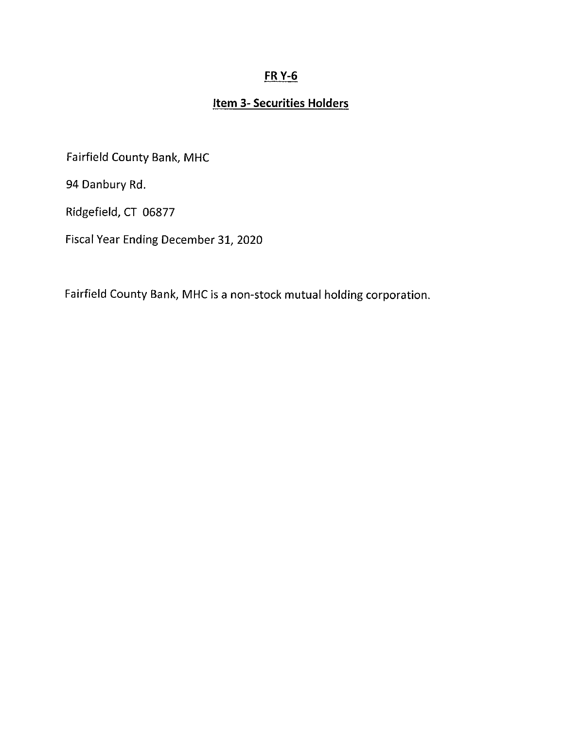## FR Y-6

## Item 3- Securities Holders

Fairfield County Bank, MHC

94 Danbury Rd.

Ridgefield, CT 06877

Fiscal Year Ending December 31, 2020

Fairfield County Bank, MHC is a non-stock mutual holding corporation.